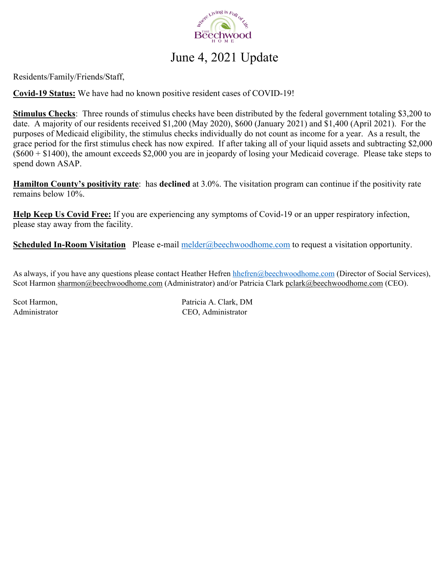

## June 4, 2021 Update

Residents/Family/Friends/Staff,

**Covid-19 Status:** We have had no known positive resident cases of COVID-19!

**Stimulus Checks**: Three rounds of stimulus checks have been distributed by the federal government totaling \$3,200 to date. A majority of our residents received \$1,200 (May 2020), \$600 (January 2021) and \$1,400 (April 2021). For the purposes of Medicaid eligibility, the stimulus checks individually do not count as income for a year. As a result, the grace period for the first stimulus check has now expired. If after taking all of your liquid assets and subtracting \$2,000  $(6600 + 1400)$ , the amount exceeds \$2,000 you are in jeopardy of losing your Medicaid coverage. Please take steps to spend down ASAP.

**Hamilton County's positivity rate**: has **declined** at 3.0%. The visitation program can continue if the positivity rate remains below 10%.

**Help Keep Us Covid Free:** If you are experiencing any symptoms of Covid-19 or an upper respiratory infection, please stay away from the facility.

**Scheduled In-Room Visitation** Please e-mail melder@beechwoodhome.com to request a visitation opportunity.

As always, if you have any questions please contact Heather Hefren hhefren@beechwoodhome.com (Director of Social Services), Scot Harmon sharmon@beechwoodhome.com (Administrator) and/or Patricia Clark pclark@beechwoodhome.com (CEO).

Scot Harmon, Patricia A. Clark, DM Administrator CEO, Administrator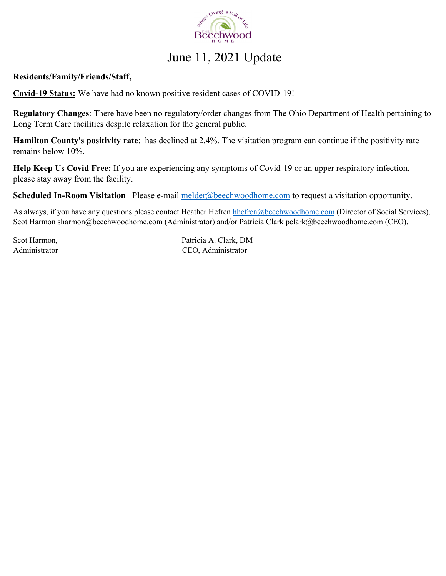

# June 11, 2021 Update

#### **Residents/Family/Friends/Staff,**

**Covid-19 Status:** We have had no known positive resident cases of COVID-19!

**Regulatory Changes**: There have been no regulatory/order changes from The Ohio Department of Health pertaining to Long Term Care facilities despite relaxation for the general public.

**Hamilton County's positivity rate**: has declined at 2.4%. The visitation program can continue if the positivity rate remains below 10%.

**Help Keep Us Covid Free:** If you are experiencing any symptoms of Covid-19 or an upper respiratory infection, please stay away from the facility.

**Scheduled In-Room Visitation** Please e-mail melder@beechwoodhome.com to request a visitation opportunity.

As always, if you have any questions please contact Heather Hefren hhefren@beechwoodhome.com (Director of Social Services), Scot Harmon sharmon@beechwoodhome.com (Administrator) and/or Patricia Clark pclark@beechwoodhome.com (CEO).

Scot Harmon, Patricia A. Clark, DM Administrator CEO, Administrator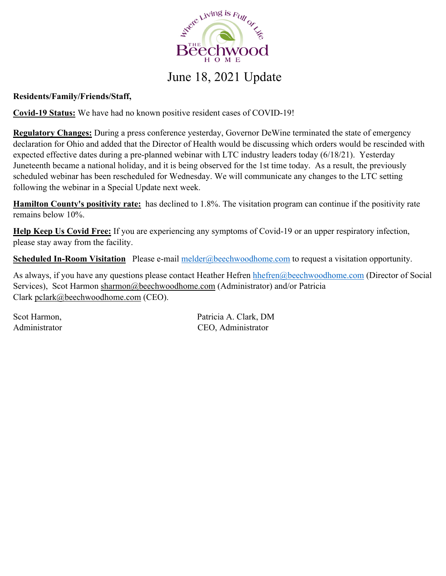

### June 18, 2021 Update

### **Residents/Family/Friends/Staff,**

**Covid-19 Status:** We have had no known positive resident cases of COVID-19!

**Regulatory Changes:** During a press conference yesterday, Governor DeWine terminated the state of emergency declaration for Ohio and added that the Director of Health would be discussing which orders would be rescinded with expected effective dates during a pre-planned webinar with LTC industry leaders today (6/18/21). Yesterday Juneteenth became a national holiday, and it is being observed for the 1st time today. As a result, the previously scheduled webinar has been rescheduled for Wednesday. We will communicate any changes to the LTC setting following the webinar in a Special Update next week.

**Hamilton County's positivity rate:** has declined to 1.8%. The visitation program can continue if the positivity rate remains below 10%.

**Help Keep Us Covid Free:** If you are experiencing any symptoms of Covid-19 or an upper respiratory infection, please stay away from the facility.

**Scheduled In-Room Visitation** Please e-mail melder@beechwoodhome.com to request a visitation opportunity.

As always, if you have any questions please contact Heather Hefren hhefren@beechwoodhome.com (Director of Social Services), Scot Harmon sharmon@beechwoodhome.com (Administrator) and/or Patricia Clark pclark@beechwoodhome.com (CEO).

Scot Harmon, Scot Harmon, Patricia A. Clark, DM Administrator CEO, Administrator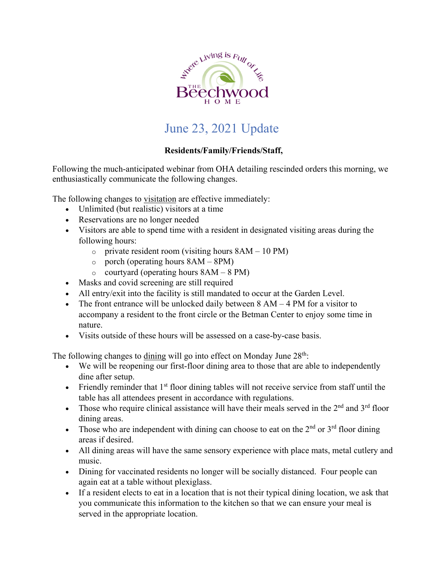

## June 23, 2021 Update

#### **Residents/Family/Friends/Staff,**

Following the much-anticipated webinar from OHA detailing rescinded orders this morning, we enthusiastically communicate the following changes.

The following changes to visitation are effective immediately:

- Unlimited (but realistic) visitors at a time
- Reservations are no longer needed
- Visitors are able to spend time with a resident in designated visiting areas during the following hours:
	- $\circ$  private resident room (visiting hours  $8AM 10 PM$ )
	- $\circ$  porch (operating hours  $8AM 8PM$ )
	- $\circ$  courtyard (operating hours  $8AM 8PM$ )
- Masks and covid screening are still required
- All entry/exit into the facility is still mandated to occur at the Garden Level.
- The front entrance will be unlocked daily between  $8 AM 4 PM$  for a visitor to accompany a resident to the front circle or the Betman Center to enjoy some time in nature.
- Visits outside of these hours will be assessed on a case-by-case basis.

The following changes to dining will go into effect on Monday June  $28<sup>th</sup>$ :

- We will be reopening our first-floor dining area to those that are able to independently dine after setup.
- Friendly reminder that  $1<sup>st</sup>$  floor dining tables will not receive service from staff until the table has all attendees present in accordance with regulations.
- Those who require clinical assistance will have their meals served in the  $2<sup>nd</sup>$  and  $3<sup>rd</sup>$  floor dining areas.
- Those who are independent with dining can choose to eat on the  $2<sup>nd</sup>$  or  $3<sup>rd</sup>$  floor dining areas if desired.
- All dining areas will have the same sensory experience with place mats, metal cutlery and music.
- Dining for vaccinated residents no longer will be socially distanced. Four people can again eat at a table without plexiglass.
- If a resident elects to eat in a location that is not their typical dining location, we ask that you communicate this information to the kitchen so that we can ensure your meal is served in the appropriate location.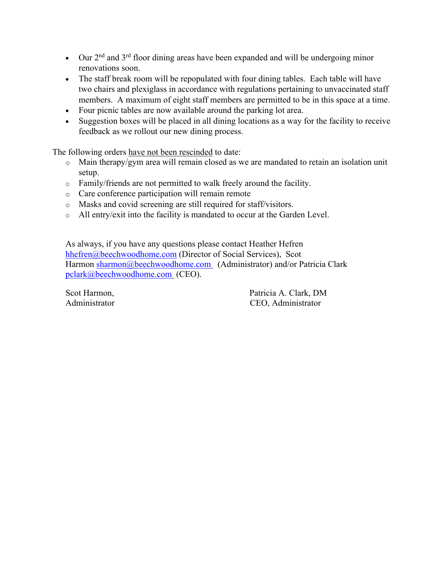- Our  $2<sup>nd</sup>$  and  $3<sup>rd</sup>$  floor dining areas have been expanded and will be undergoing minor renovations soon.
- The staff break room will be repopulated with four dining tables. Each table will have two chairs and plexiglass in accordance with regulations pertaining to unvaccinated staff members. A maximum of eight staff members are permitted to be in this space at a time.
- Four picnic tables are now available around the parking lot area.
- Suggestion boxes will be placed in all dining locations as a way for the facility to receive feedback as we rollout our new dining process.

The following orders have not been rescinded to date:

- o Main therapy/gym area will remain closed as we are mandated to retain an isolation unit setup.
- o Family/friends are not permitted to walk freely around the facility.
- o Care conference participation will remain remote
- o Masks and covid screening are still required for staff/visitors.
- o All entry/exit into the facility is mandated to occur at the Garden Level.

As always, if you have any questions please contact Heather Hefren hhefren@beechwoodhome.com (Director of Social Services), Scot Harmon sharmon@beechwoodhome.com (Administrator) and/or Patricia Clark pclark@beechwoodhome.com (CEO).

Scot Harmon, Patricia A. Clark, DM Administrator CEO, Administrator